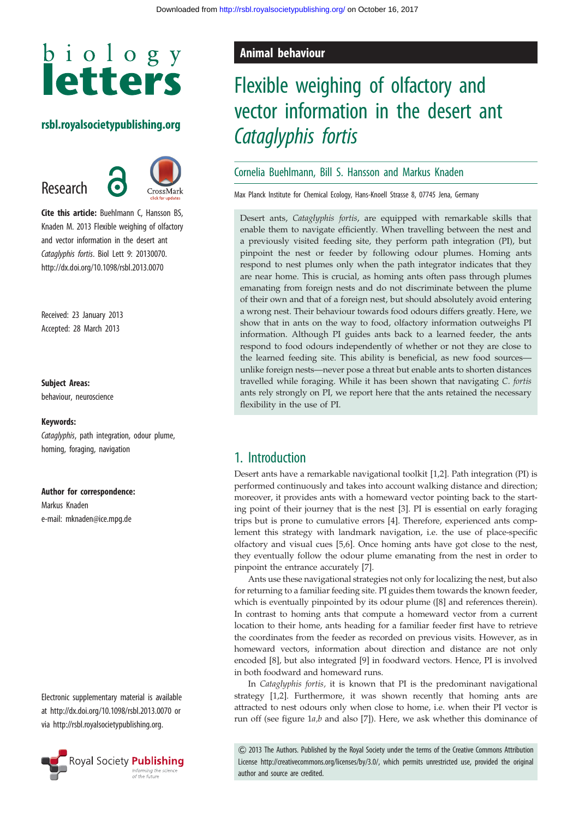# biology **letters**

#### rsbl.royalsocietypublishing.org

Research



**Cite this article:** Buehlmann C, Hansson BS, Knaden M. 2013 Flexible weighing of olfactory and vector information in the desert ant Cataglyphis fortis. Biol Lett 9: 20130070. http://dx.doi.org/10.1098/rsbl.2013.0070

Received: 23 January 2013 Accepted: 28 March 2013

#### Subject Areas:

behaviour, neuroscience

#### Keywords:

Cataglyphis, path integration, odour plume, homing, foraging, navigation

#### Author for correspondence:

Markus Knaden e-mail: [mknaden@ice.mpg.de](mailto:mknaden@ice.mpg.de)

Electronic supplementary material is available at<http://dx.doi.org/10.1098/rsbl.2013.0070> or via<http://rsbl.royalsocietypublishing.org>.



### Animal behaviour

# Flexible weighing of olfactory and vector information in the desert ant Cataglyphis fortis

#### Cornelia Buehlmann, Bill S. Hansson and Markus Knaden

Max Planck Institute for Chemical Ecology, Hans-Knoell Strasse 8, 07745 Jena, Germany

Desert ants, Cataglyphis fortis, are equipped with remarkable skills that enable them to navigate efficiently. When travelling between the nest and a previously visited feeding site, they perform path integration (PI), but pinpoint the nest or feeder by following odour plumes. Homing ants respond to nest plumes only when the path integrator indicates that they are near home. This is crucial, as homing ants often pass through plumes emanating from foreign nests and do not discriminate between the plume of their own and that of a foreign nest, but should absolutely avoid entering a wrong nest. Their behaviour towards food odours differs greatly. Here, we show that in ants on the way to food, olfactory information outweighs PI information. Although PI guides ants back to a learned feeder, the ants respond to food odours independently of whether or not they are close to the learned feeding site. This ability is beneficial, as new food sources unlike foreign nests—never pose a threat but enable ants to shorten distances travelled while foraging. While it has been shown that navigating C. fortis ants rely strongly on PI, we report here that the ants retained the necessary flexibility in the use of PI.

#### 1. Introduction

Desert ants have a remarkable navigational toolkit [[1,2\]](#page-2-0). Path integration (PI) is performed continuously and takes into account walking distance and direction; moreover, it provides ants with a homeward vector pointing back to the starting point of their journey that is the nest [\[3](#page-2-0)]. PI is essential on early foraging trips but is prone to cumulative errors [[4](#page-2-0)]. Therefore, experienced ants complement this strategy with landmark navigation, i.e. the use of place-specific olfactory and visual cues [[5](#page-2-0)[,6\]](#page-3-0). Once homing ants have got close to the nest, they eventually follow the odour plume emanating from the nest in order to pinpoint the entrance accurately [[7\]](#page-3-0).

Ants use these navigational strategies not only for localizing the nest, but also for returning to a familiar feeding site. PI guides them towards the known feeder, which is eventually pinpointed by its odour plume ([\[8\]](#page-3-0) and references therein). In contrast to homing ants that compute a homeward vector from a current location to their home, ants heading for a familiar feeder first have to retrieve the coordinates from the feeder as recorded on previous visits. However, as in homeward vectors, information about direction and distance are not only encoded [[8](#page-3-0)], but also integrated [\[9\]](#page-3-0) in foodward vectors. Hence, PI is involved in both foodward and homeward runs.

In Cataglyphis fortis, it is known that PI is the predominant navigational strategy [[1,2\]](#page-2-0). Furthermore, it was shown recently that homing ants are attracted to nest odours only when close to home, i.e. when their PI vector is run off (see figure  $1a,b$  and also [\[7\]](#page-3-0)). Here, we ask whether this dominance of

& 2013 The Authors. Published by the Royal Society under the terms of the Creative Commons Attribution License http://creativecommons.org/licenses/by/3.0/, which permits unrestricted use, provided the original author and source are credited.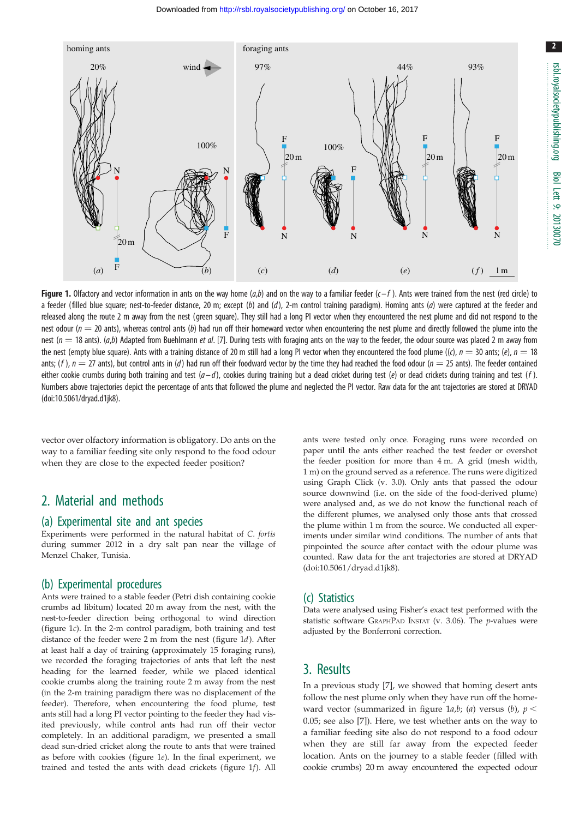<span id="page-1-0"></span>

Figure 1. Olfactory and vector information in ants on the way home  $(a,b)$  and on the way to a familiar feeder  $(c-f)$ . Ants were trained from the nest (red circle) to a feeder (filled blue square; nest-to-feeder distance, 20 m; except (b) and (d), 2-m control training paradigm). Homing ants (a) were captured at the feeder and released along the route 2 m away from the nest (green square). They still had a long PI vector when they encountered the nest plume and did not respond to the nest odour ( $n = 20$  ants), whereas control ants (b) had run off their homeward vector when encountering the nest plume and directly followed the plume into the nest ( $n = 18$  ants). (a,b) Adapted from Buehlmann et al. [[7\]](#page-3-0). During tests with foraging ants on the way to the feeder, the odour source was placed 2 m away from the nest (empty blue square). Ants with a training distance of 20 m still had a long PI vector when they encountered the food plume ((c),  $n = 30$  ants; (e),  $n = 18$ ants;  $(f)$ ,  $n = 27$  ants), but control ants in (d) had run off their foodward vector by the time they had reached the food odour ( $n = 25$  ants). The feeder contained either cookie crumbs during both training and test  $(a-d)$ , cookies during training but a dead cricket during test  $(e)$  or dead crickets during training and test  $(f)$ . Numbers above trajectories depict the percentage of ants that followed the plume and neglected the PI vector. Raw data for the ant trajectories are stored at DRYAD [\(doi:10.5061/dryad.d1jk8](http://dx.doi.org/10.5061/dryad.d1jk8)).

vector over olfactory information is obligatory. Do ants on the way to a familiar feeding site only respond to the food odour when they are close to the expected feeder position?

# 2. Material and methods

#### (a) Experimental site and ant species

Experiments were performed in the natural habitat of C. fortis during summer 2012 in a dry salt pan near the village of Menzel Chaker, Tunisia.

#### (b) Experimental procedures

Ants were trained to a stable feeder (Petri dish containing cookie crumbs ad libitum) located 20 m away from the nest, with the nest-to-feeder direction being orthogonal to wind direction (figure 1c). In the 2-m control paradigm, both training and test distance of the feeder were 2 m from the nest (figure 1d). After at least half a day of training (approximately 15 foraging runs), we recorded the foraging trajectories of ants that left the nest heading for the learned feeder, while we placed identical cookie crumbs along the training route 2 m away from the nest (in the 2-m training paradigm there was no displacement of the feeder). Therefore, when encountering the food plume, test ants still had a long PI vector pointing to the feeder they had visited previously, while control ants had run off their vector completely. In an additional paradigm, we presented a small dead sun-dried cricket along the route to ants that were trained as before with cookies (figure 1e). In the final experiment, we trained and tested the ants with dead crickets (figure 1f). All

ants were tested only once. Foraging runs were recorded on paper until the ants either reached the test feeder or overshot the feeder position for more than 4 m. A grid (mesh width, 1 m) on the ground served as a reference. The runs were digitized using Graph Click (v. 3.0). Only ants that passed the odour source downwind (i.e. on the side of the food-derived plume) were analysed and, as we do not know the functional reach of the different plumes, we analysed only those ants that crossed the plume within 1 m from the source. We conducted all experiments under similar wind conditions. The number of ants that pinpointed the source after contact with the odour plume was counted. Raw data for the ant trajectories are stored at DRYAD ([doi:10.5061/dryad.d1jk8](http://dx.doi.org/10.5061/dryad.d1jk8)).

#### (c) Statistics

Data were analysed using Fisher's exact test performed with the statistic software GRAPHPAD INSTAT (v. 3.06). The  $p$ -values were adjusted by the Bonferroni correction.

## 3. Results

In a previous study [\[7\]](#page-3-0), we showed that homing desert ants follow the nest plume only when they have run off the homeward vector (summarized in figure 1a,b; (a) versus (b),  $p <$ 0.05; see also [\[7\]](#page-3-0)). Here, we test whether ants on the way to a familiar feeding site also do not respond to a food odour when they are still far away from the expected feeder location. Ants on the journey to a stable feeder (filled with cookie crumbs) 20 m away encountered the expected odour 2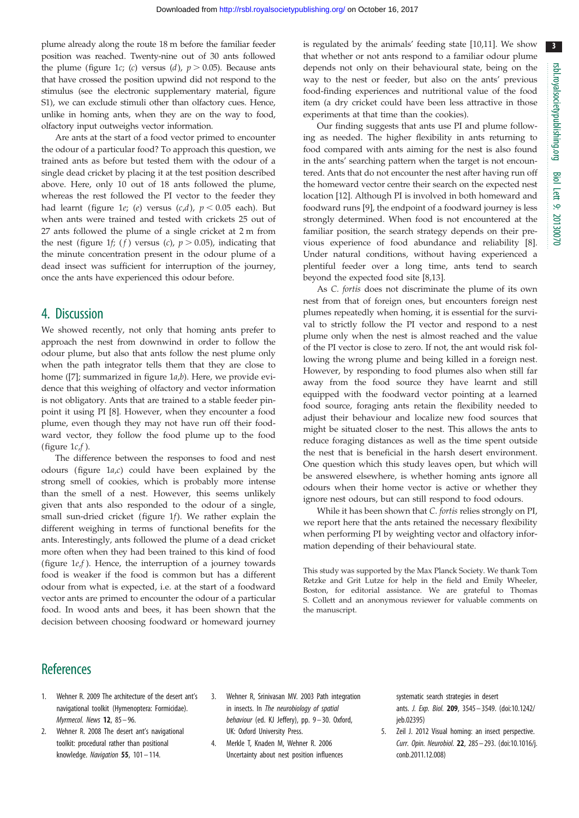3

<span id="page-2-0"></span>plume already along the route 18 m before the familiar feeder position was reached. Twenty-nine out of 30 ants followed the plume [\(figure 1](#page-1-0)c; (c) versus (d),  $p > 0.05$ ). Because ants that have crossed the position upwind did not respond to the stimulus (see the electronic supplementary material, figure S1), we can exclude stimuli other than olfactory cues. Hence, unlike in homing ants, when they are on the way to food, olfactory input outweighs vector information.

Are ants at the start of a food vector primed to encounter the odour of a particular food? To approach this question, we trained ants as before but tested them with the odour of a single dead cricket by placing it at the test position described above. Here, only 10 out of 18 ants followed the plume, whereas the rest followed the PI vector to the feeder they had learnt [\(figure 1](#page-1-0)e; (e) versus  $(c,d)$ ,  $p < 0.05$  each). But when ants were trained and tested with crickets 25 out of 27 ants followed the plume of a single cricket at 2 m from the nest ([figure 1](#page-1-0)f; (f) versus (c),  $p > 0.05$ ), indicating that the minute concentration present in the odour plume of a dead insect was sufficient for interruption of the journey, once the ants have experienced this odour before.

### 4. Discussion

We showed recently, not only that homing ants prefer to approach the nest from downwind in order to follow the odour plume, but also that ants follow the nest plume only when the path integrator tells them that they are close to home ([\[7\]](#page-3-0); summarized in figure  $1a,b$ ). Here, we provide evidence that this weighing of olfactory and vector information is not obligatory. Ants that are trained to a stable feeder pinpoint it using PI [\[8\]](#page-3-0). However, when they encounter a food plume, even though they may not have run off their foodward vector, they follow the food plume up to the food (figure  $1c.f$ ).

The difference between the responses to food and nest odours (figure  $1a,c$ ) could have been explained by the strong smell of cookies, which is probably more intense than the smell of a nest. However, this seems unlikely given that ants also responded to the odour of a single, small sun-dried cricket ([figure 1](#page-1-0)f). We rather explain the different weighing in terms of functional benefits for the ants. Interestingly, ants followed the plume of a dead cricket more often when they had been trained to this kind of food (figure  $1e<sub>i</sub>f$ ). Hence, the interruption of a journey towards food is weaker if the food is common but has a different odour from what is expected, i.e. at the start of a foodward vector ants are primed to encounter the odour of a particular food. In wood ants and bees, it has been shown that the decision between choosing foodward or homeward journey

is regulated by the animals' feeding state [\[10,11](#page-3-0)]. We show that whether or not ants respond to a familiar odour plume depends not only on their behavioural state, being on the way to the nest or feeder, but also on the ants' previous food-finding experiences and nutritional value of the food item (a dry cricket could have been less attractive in those experiments at that time than the cookies).

Our finding suggests that ants use PI and plume following as needed. The higher flexibility in ants returning to food compared with ants aiming for the nest is also found in the ants' searching pattern when the target is not encountered. Ants that do not encounter the nest after having run off the homeward vector centre their search on the expected nest location [\[12](#page-3-0)]. Although PI is involved in both homeward and foodward runs [[9](#page-3-0)], the endpoint of a foodward journey is less strongly determined. When food is not encountered at the familiar position, the search strategy depends on their previous experience of food abundance and reliability [\[8\]](#page-3-0). Under natural conditions, without having experienced a plentiful feeder over a long time, ants tend to search beyond the expected food site [\[8,13](#page-3-0)].

As C. fortis does not discriminate the plume of its own nest from that of foreign ones, but encounters foreign nest plumes repeatedly when homing, it is essential for the survival to strictly follow the PI vector and respond to a nest plume only when the nest is almost reached and the value of the PI vector is close to zero. If not, the ant would risk following the wrong plume and being killed in a foreign nest. However, by responding to food plumes also when still far away from the food source they have learnt and still equipped with the foodward vector pointing at a learned food source, foraging ants retain the flexibility needed to adjust their behaviour and localize new food sources that might be situated closer to the nest. This allows the ants to reduce foraging distances as well as the time spent outside the nest that is beneficial in the harsh desert environment. One question which this study leaves open, but which will be answered elsewhere, is whether homing ants ignore all odours when their home vector is active or whether they ignore nest odours, but can still respond to food odours.

While it has been shown that C. fortis relies strongly on PI, we report here that the ants retained the necessary flexibility when performing PI by weighting vector and olfactory information depending of their behavioural state.

This study was supported by the Max Planck Society. We thank Tom Retzke and Grit Lutze for help in the field and Emily Wheeler, Boston, for editorial assistance. We are grateful to Thomas S. Collett and an anonymous reviewer for valuable comments on the manuscript.

# **References**

- 1. Wehner R. 2009 The architecture of the desert ant's navigational toolkit (Hymenoptera: Formicidae). Myrmecol. News 12, 85 – 96.
- 2. Wehner R. 2008 The desert ant's navigational toolkit: procedural rather than positional knowledge. Navigation 55, 101– 114.
- 3. Wehner R, Srinivasan MV. 2003 Path integration in insects. In The neurobiology of spatial behaviour (ed. KJ Jeffery), pp. 9– 30. Oxford, UK: Oxford University Press.
- 4. Merkle T, Knaden M, Wehner R. 2006 Uncertainty about nest position influences

systematic search strategies in desert ants. J. Exp. Biol. 209, 3545 – 3549. ([doi:10.1242/](http://dx.doi.org/10.1242/jeb.02395) [jeb.02395\)](http://dx.doi.org/10.1242/jeb.02395)

5. Zeil J. 2012 Visual homing: an insect perspective. Curr. Opin. Neurobiol. 22, 285– 293. ([doi:10.1016/j.](http://dx.doi.org/10.1016/j.conb.2011.12.008) [conb.2011.12.008](http://dx.doi.org/10.1016/j.conb.2011.12.008))